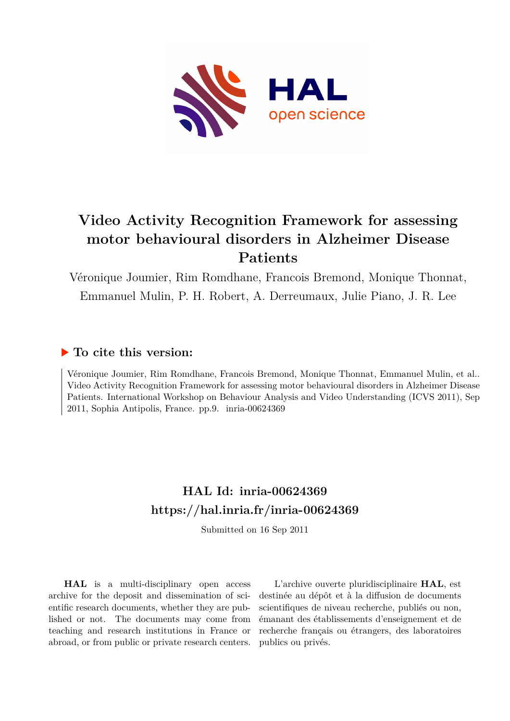

# **Video Activity Recognition Framework for assessing motor behavioural disorders in Alzheimer Disease Patients**

Véronique Joumier, Rim Romdhane, Francois Bremond, Monique Thonnat, Emmanuel Mulin, P. H. Robert, A. Derreumaux, Julie Piano, J. R. Lee

# **To cite this version:**

Véronique Joumier, Rim Romdhane, Francois Bremond, Monique Thonnat, Emmanuel Mulin, et al.. Video Activity Recognition Framework for assessing motor behavioural disorders in Alzheimer Disease Patients. International Workshop on Behaviour Analysis and Video Understanding (ICVS 2011), Sep  $2011$ , Sophia Antipolis, France. pp.9. inria-00624369

# **HAL Id: inria-00624369 <https://hal.inria.fr/inria-00624369>**

Submitted on 16 Sep 2011

**HAL** is a multi-disciplinary open access archive for the deposit and dissemination of scientific research documents, whether they are published or not. The documents may come from teaching and research institutions in France or abroad, or from public or private research centers.

L'archive ouverte pluridisciplinaire **HAL**, est destinée au dépôt et à la diffusion de documents scientifiques de niveau recherche, publiés ou non, émanant des établissements d'enseignement et de recherche français ou étrangers, des laboratoires publics ou privés.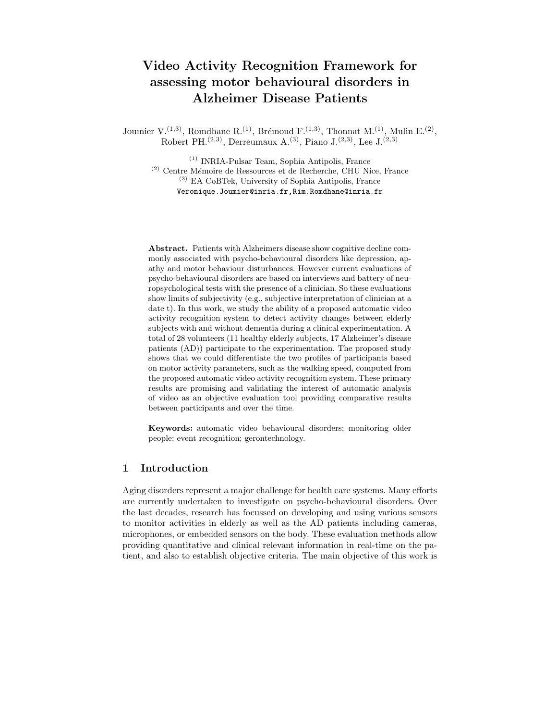# Video Activity Recognition Framework for assessing motor behavioural disorders in Alzheimer Disease Patients

Joumier V.<sup>(1,3)</sup>, Romdhane R.<sup>(1)</sup>, Brémond F.<sup>(1,3)</sup>, Thonnat M.<sup>(1)</sup>, Mulin E.<sup>(2)</sup>, Robert PH.<sup>(2,3)</sup>, Derreumaux A.<sup>(3)</sup>, Piano J.<sup>(2,3)</sup>, Lee J.<sup>(2,3)</sup>

(1) INRIA-Pulsar Team, Sophia Antipolis, France  $(2)$  Centre Mémoire de Ressources et de Recherche, CHU Nice, France (3) EA CoBTek, University of Sophia Antipolis, France Veronique.Joumier@inria.fr,Rim.Romdhane@inria.fr

Abstract. Patients with Alzheimers disease show cognitive decline commonly associated with psycho-behavioural disorders like depression, apathy and motor behaviour disturbances. However current evaluations of psycho-behavioural disorders are based on interviews and battery of neuropsychological tests with the presence of a clinician. So these evaluations show limits of subjectivity (e.g., subjective interpretation of clinician at a date t). In this work, we study the ability of a proposed automatic video activity recognition system to detect activity changes between elderly subjects with and without dementia during a clinical experimentation. A total of 28 volunteers (11 healthy elderly subjects, 17 Alzheimer's disease patients (AD)) participate to the experimentation. The proposed study shows that we could differentiate the two profiles of participants based on motor activity parameters, such as the walking speed, computed from the proposed automatic video activity recognition system. These primary results are promising and validating the interest of automatic analysis of video as an objective evaluation tool providing comparative results between participants and over the time.

Keywords: automatic video behavioural disorders; monitoring older people; event recognition; gerontechnology.

### 1 Introduction

Aging disorders represent a major challenge for health care systems. Many efforts are currently undertaken to investigate on psycho-behavioural disorders. Over the last decades, research has focussed on developing and using various sensors to monitor activities in elderly as well as the AD patients including cameras, microphones, or embedded sensors on the body. These evaluation methods allow providing quantitative and clinical relevant information in real-time on the patient, and also to establish objective criteria. The main objective of this work is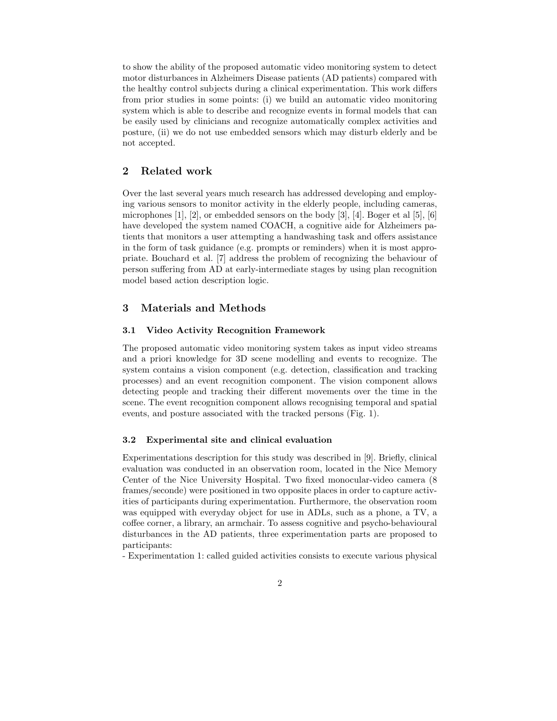to show the ability of the proposed automatic video monitoring system to detect motor disturbances in Alzheimers Disease patients (AD patients) compared with the healthy control subjects during a clinical experimentation. This work differs from prior studies in some points: (i) we build an automatic video monitoring system which is able to describe and recognize events in formal models that can be easily used by clinicians and recognize automatically complex activities and posture, (ii) we do not use embedded sensors which may disturb elderly and be not accepted.

# 2 Related work

Over the last several years much research has addressed developing and employing various sensors to monitor activity in the elderly people, including cameras, microphones [1], [2], or embedded sensors on the body [3], [4]. Boger et al [5], [6] have developed the system named COACH, a cognitive aide for Alzheimers patients that monitors a user attempting a handwashing task and offers assistance in the form of task guidance (e.g. prompts or reminders) when it is most appropriate. Bouchard et al. [7] address the problem of recognizing the behaviour of person suffering from AD at early-intermediate stages by using plan recognition model based action description logic.

### 3 Materials and Methods

#### 3.1 Video Activity Recognition Framework

The proposed automatic video monitoring system takes as input video streams and a priori knowledge for 3D scene modelling and events to recognize. The system contains a vision component (e.g. detection, classification and tracking processes) and an event recognition component. The vision component allows detecting people and tracking their different movements over the time in the scene. The event recognition component allows recognising temporal and spatial events, and posture associated with the tracked persons (Fig. 1).

#### 3.2 Experimental site and clinical evaluation

Experimentations description for this study was described in [9]. Briefly, clinical evaluation was conducted in an observation room, located in the Nice Memory Center of the Nice University Hospital. Two fixed monocular-video camera (8 frames/seconde) were positioned in two opposite places in order to capture activities of participants during experimentation. Furthermore, the observation room was equipped with everyday object for use in ADLs, such as a phone, a TV, a coffee corner, a library, an armchair. To assess cognitive and psycho-behavioural disturbances in the AD patients, three experimentation parts are proposed to participants:

- Experimentation 1: called guided activities consists to execute various physical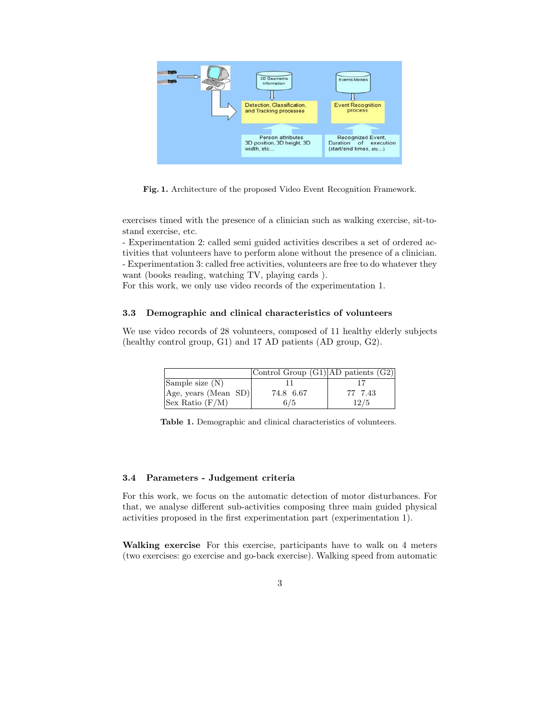

Fig. 1. Architecture of the proposed Video Event Recognition Framework.

exercises timed with the presence of a clinician such as walking exercise, sit-tostand exercise, etc.

- Experimentation 2: called semi guided activities describes a set of ordered activities that volunteers have to perform alone without the presence of a clinician. - Experimentation 3: called free activities, volunteers are free to do whatever they want (books reading, watching TV, playing cards ).

For this work, we only use video records of the experimentation 1.

#### 3.3 Demographic and clinical characteristics of volunteers

We use video records of 28 volunteers, composed of 11 healthy elderly subjects (healthy control group, G1) and 17 AD patients (AD group, G2).

|                      | Control Group (G1) AD patients (G2) |         |
|----------------------|-------------------------------------|---------|
| Sample size (N)      |                                     |         |
| Age, years (Mean SD) | 74.8 6.67                           | 77 7.43 |
| Sex Ratio $(F/M)$    | 6/5                                 | 12/5    |

Table 1. Demographic and clinical characteristics of volunteers.

#### 3.4 Parameters - Judgement criteria

For this work, we focus on the automatic detection of motor disturbances. For that, we analyse different sub-activities composing three main guided physical activities proposed in the first experimentation part (experimentation 1).

Walking exercise For this exercise, participants have to walk on 4 meters (two exercises: go exercise and go-back exercise). Walking speed from automatic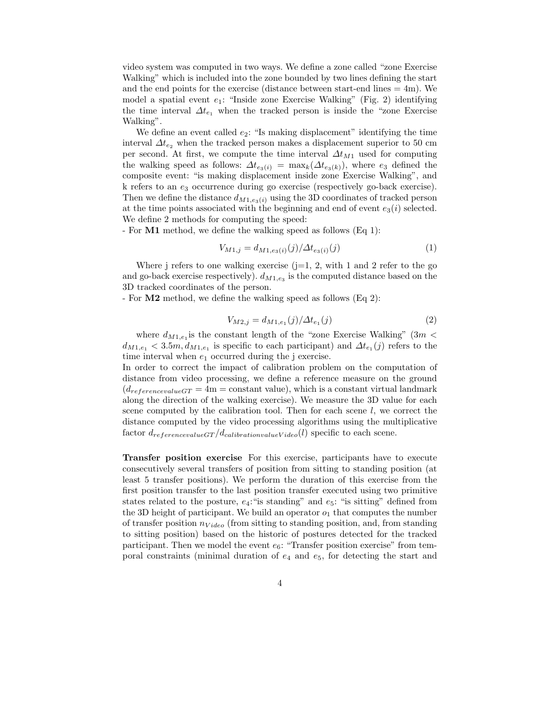video system was computed in two ways. We define a zone called "zone Exercise Walking" which is included into the zone bounded by two lines defining the start and the end points for the exercise (distance between start-end lines  $= 4m$ ). We model a spatial event  $e_1$ : "Inside zone Exercise Walking" (Fig. 2) identifying the time interval  $\Delta t_{e_1}$  when the tracked person is inside the "zone Exercise" Walking".

We define an event called  $e_2$ : "Is making displacement" identifying the time interval  $\Delta t_{e_2}$  when the tracked person makes a displacement superior to 50 cm per second. At first, we compute the time interval  $\Delta t_{M1}$  used for computing the walking speed as follows:  $\Delta t_{e_3(i)} = \max_k(\Delta t_{e_3(k)})$ , where  $e_3$  defined the composite event: "is making displacement inside zone Exercise Walking", and k refers to an  $e_3$  occurrence during go exercise (respectively go-back exercise). Then we define the distance  $d_{M1,e_3(i)}$  using the 3D coordinates of tracked person at the time points associated with the beginning and end of event  $e_3(i)$  selected. We define 2 methods for computing the speed:

- For M1 method, we define the walking speed as follows (Eq 1):

$$
V_{M1,j} = d_{M1,e_3(i)}(j)/\Delta t_{e_3(i)}(j)
$$
\n(1)

Where j refers to one walking exercise  $(j=1, 2, \text{ with } 1 \text{ and } 2 \text{ refer to the go})$ and go-back exercise respectively).  $d_{M1,e_3}$  is the computed distance based on the 3D tracked coordinates of the person.

- For M2 method, we define the walking speed as follows (Eq 2):

$$
V_{M2,j} = d_{M1,e_1}(j)/\Delta t_{e_1}(j)
$$
\n(2)

where  $d_{M1,e_1}$  is the constant length of the "zone Exercise Walking" (3m <  $d_{M1,e_1} < 3.5m, d_{M1,e_1}$  is specific to each participant) and  $\Delta t_{e_1}(j)$  refers to the time interval when  $e_1$  occurred during the j exercise.

In order to correct the impact of calibration problem on the computation of distance from video processing, we define a reference measure on the ground  $(d_{reference valueGT = 4m = constant value)$ , which is a constant virtual landmark along the direction of the walking exercise). We measure the 3D value for each scene computed by the calibration tool. Then for each scene  $l$ , we correct the distance computed by the video processing algorithms using the multiplicative factor  $d_{reference valueGT}/d_{calibrationvalueVideo}(l)$  specific to each scene.

Transfer position exercise For this exercise, participants have to execute consecutively several transfers of position from sitting to standing position (at least 5 transfer positions). We perform the duration of this exercise from the first position transfer to the last position transfer executed using two primitive states related to the posture,  $e_4$ : "is standing" and  $e_5$ : "is sitting" defined from the 3D height of participant. We build an operator  $o_1$  that computes the number of transfer position  $n_{Video}$  (from sitting to standing position, and, from standing to sitting position) based on the historic of postures detected for the tracked participant. Then we model the event  $e_6$ : "Transfer position exercise" from temporal constraints (minimal duration of  $e_4$  and  $e_5$ , for detecting the start and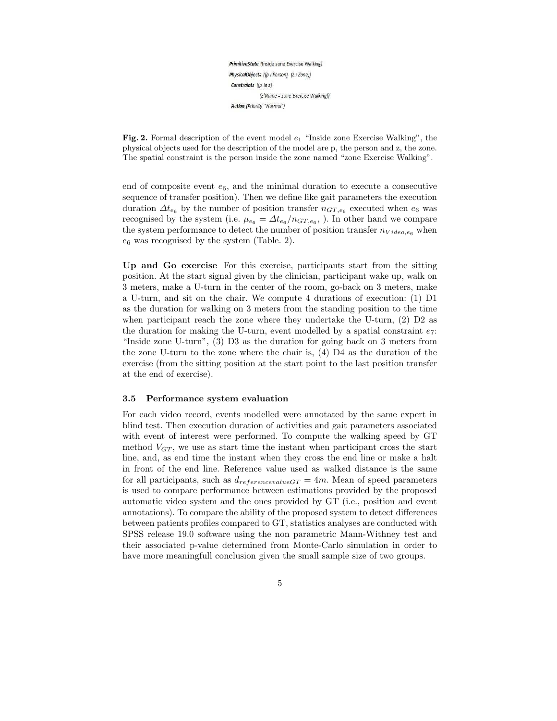PrimitiveState (Inside zone Exercise Walking) PhysicalObjects ((p: Person), (z: Zone)) Constraints ((p in z) (z'Name = zone Exercise Walking)) Action (Priority "Normal")

**Fig. 2.** Formal description of the event model  $e_1$  "Inside zone Exercise Walking", the physical objects used for the description of the model are p, the person and z, the zone. The spatial constraint is the person inside the zone named "zone Exercise Walking".

end of composite event  $e_6$ , and the minimal duration to execute a consecutive sequence of transfer position). Then we define like gait parameters the execution duration  $\Delta t_{e_6}$  by the number of position transfer  $n_{GT,e_6}$  executed when  $e_6$  was recognised by the system (i.e.  $\mu_{e_6} = \Delta t_{e_6}/n_{GT,e_6}$ , ). In other hand we compare the system performance to detect the number of position transfer  $n_{Video, e_6}$  when  $e_6$  was recognised by the system (Table. 2).

Up and Go exercise For this exercise, participants start from the sitting position. At the start signal given by the clinician, participant wake up, walk on 3 meters, make a U-turn in the center of the room, go-back on 3 meters, make a U-turn, and sit on the chair. We compute 4 durations of execution: (1) D1 as the duration for walking on 3 meters from the standing position to the time when participant reach the zone where they undertake the U-turn, (2) D2 as the duration for making the U-turn, event modelled by a spatial constraint  $e_7$ : "Inside zone U-turn", (3) D3 as the duration for going back on 3 meters from the zone U-turn to the zone where the chair is, (4) D4 as the duration of the exercise (from the sitting position at the start point to the last position transfer at the end of exercise).

#### 3.5 Performance system evaluation

For each video record, events modelled were annotated by the same expert in blind test. Then execution duration of activities and gait parameters associated with event of interest were performed. To compute the walking speed by GT method  $V_{GT}$ , we use as start time the instant when participant cross the start line, and, as end time the instant when they cross the end line or make a halt in front of the end line. Reference value used as walked distance is the same for all participants, such as  $d_{referencevalueGT} = 4m$ . Mean of speed parameters is used to compare performance between estimations provided by the proposed automatic video system and the ones provided by GT (i.e., position and event annotations). To compare the ability of the proposed system to detect differences between patients profiles compared to GT, statistics analyses are conducted with SPSS release 19.0 software using the non parametric Mann-Withney test and their associated p-value determined from Monte-Carlo simulation in order to have more meaningfull conclusion given the small sample size of two groups.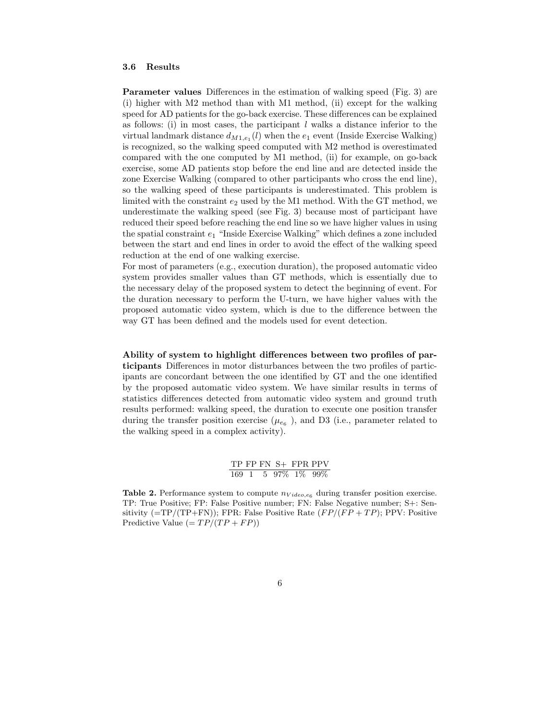#### 3.6 Results

Parameter values Differences in the estimation of walking speed (Fig. 3) are (i) higher with M2 method than with M1 method, (ii) except for the walking speed for AD patients for the go-back exercise. These differences can be explained as follows: (i) in most cases, the participant  $l$  walks a distance inferior to the virtual landmark distance  $d_{M1, e_1}(l)$  when the  $e_1$  event (Inside Exercise Walking) is recognized, so the walking speed computed with M2 method is overestimated compared with the one computed by M1 method, (ii) for example, on go-back exercise, some AD patients stop before the end line and are detected inside the zone Exercise Walking (compared to other participants who cross the end line), so the walking speed of these participants is underestimated. This problem is limited with the constraint  $e_2$  used by the M1 method. With the GT method, we underestimate the walking speed (see Fig. 3) because most of participant have reduced their speed before reaching the end line so we have higher values in using the spatial constraint  $e_1$  "Inside Exercise Walking" which defines a zone included between the start and end lines in order to avoid the effect of the walking speed reduction at the end of one walking exercise.

For most of parameters (e.g., execution duration), the proposed automatic video system provides smaller values than GT methods, which is essentially due to the necessary delay of the proposed system to detect the beginning of event. For the duration necessary to perform the U-turn, we have higher values with the proposed automatic video system, which is due to the difference between the way GT has been defined and the models used for event detection.

Ability of system to highlight differences between two profiles of participants Differences in motor disturbances between the two profiles of participants are concordant between the one identified by GT and the one identified by the proposed automatic video system. We have similar results in terms of statistics differences detected from automatic video system and ground truth results performed: walking speed, the duration to execute one position transfer during the transfer position exercise  $(\mu_{e_6})$ , and D3 (i.e., parameter related to the walking speed in a complex activity).

> TP FP FN S+ FPR PPV 169 1 5 97% 1% 99%

**Table 2.** Performance system to compute  $n_{Video, e_6}$  during transfer position exercise. TP: True Positive; FP: False Positive number; FN: False Negative number; S+: Sensitivity  $(=TP/(TP+FN))$ ; FPR: False Positive Rate  $(FP/(FP+TP))$ ; PPV: Positive Predictive Value  $(= TP/(TP + FP))$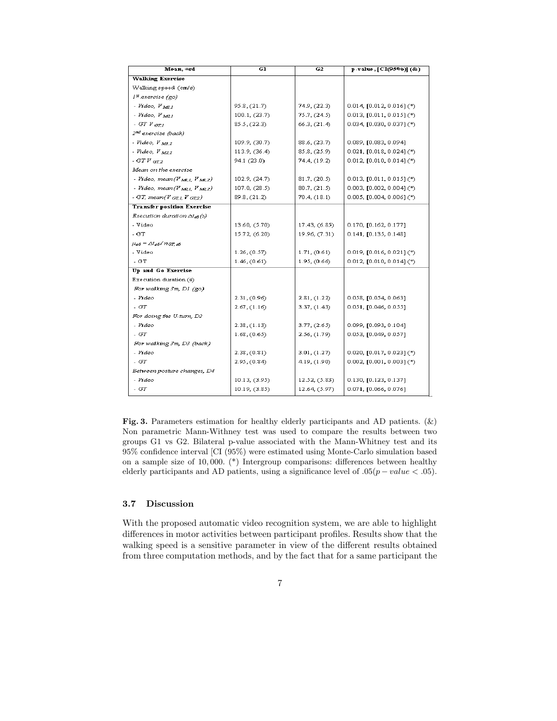| Mean, $\pm$ sd                          | GI            | G2            | p-value, [CI(95%)] (&)      |
|-----------------------------------------|---------------|---------------|-----------------------------|
| <b>Walking Exercise</b>                 |               |               |                             |
| Walking speed (cm/s)                    |               |               |                             |
| 1 <sup>x</sup> exercise (go)            |               |               |                             |
| - Video, $V_{MLI}$                      | 95.8, (21.7)  | 74.9, (22.3)  | 0.014, [0.012, 0.016] (*)   |
| - Video, $V_{M2,I}$                     | 100.1, (23.7) | 75.7, (24.5)  | 0.013, $[0.011, 0.015]$ (*) |
| - GT $V$ $_{GTI}$                       | 85.5, (22.3)  | 66.3, (21.4)  | 0.034, [0.030, 0.037] (*)   |
| 2 <sup>nd</sup> exercise (back)         |               |               |                             |
| - Video, V <sub>M12</sub>               | 109.9, (30.7) | 88.6, (23.7)  | 0.089, [0.083, 0.094]       |
| - Video, V M22                          | 113.9, (36.4) | 85.8, (25.9)  | 0.021, [0.018, 0.024] (*)   |
| $-$ GTV $_{GT2}$                        | 94.1 (23.0)   | 74.4, (19.2)  | $0.012, [0.010, 0.014](*)$  |
| Mean on the exercise                    |               |               |                             |
| - Video, mean(V M.1, V M.2)             | 102.9, (24.7) | 81.7, (20.5)  | $0.013, [0.011, 0.015]$ (*) |
| - Video, mean( $V_{MLI}$ , $V_{ML2}$ )  | 107.0, (28.5) | 80.7, (21.5)  | 0.003, [0.002, 0.004] (*)   |
| - GT, mean( $V$ GTL, $V$ GT2)           | 89.8, (21.2)  | 70.4, (18.1)  | $0.005, [0.004, 0.006]$ (*) |
| <b>Transfer position Exercise</b>       |               |               |                             |
| Execution duration ∆t <sub>e6</sub> (s) |               |               |                             |
| - Video                                 | 13.60, (5.70) | 17.43, (6.85) | 0.170, [0.162, 0.177]       |
| - GT                                    | 15.72, (6.20) | 19.96, (7.31) | 0.141, [0.135, 0.148]       |
| $\mu_{e6} = \Delta t_{e6} / n_{GL,e6}$  |               |               |                             |
| - Video                                 | 1.26, (0.57)  | 1.71, (0.61)  | 0.019, [0.016, 0.021] (*)   |
| - GT                                    | 1.46, (0.61)  | 1.95, (0.66)  | $0.012, [0.010, 0.014](*)$  |
| Up and Go Exercise                      |               |               |                             |
| Execution duration (s)                  |               |               |                             |
| For walking 3m, DI (go)                 |               |               |                             |
| - Video                                 | 2.31, (0.96)  | 2.81, (1.22)  | 0.058, [0.054, 0.063]       |
| - GT                                    | 2.67, (1.16)  | 3.37, (1.43)  | 0.051, [0.046, 0.055]       |
| For doing the U-turn, D2                |               |               |                             |
| - Video                                 | 2.38, (1.13)  | 3.77, (2.65)  | 0.099, [0.093, 0.104]       |
| $-GT$                                   | 1.68, (0.65)  | 2.56, (1.79)  | 0.053, [0.049, 0.057]       |
| For walking 3m, D3 (back)               |               |               |                             |
| - Video                                 | 2.38, (0.81)  | 3.01, (1.27)  | 0.020, [0.017, 0.023] (*)   |
| - GT                                    | 2.95, (0.84)  | 4.19, (1.90)  | $0.002, [0.001, 0.003]$ (*) |
| Between posture changes, D4             |               |               |                             |
| - Video                                 | 10.13, (3.95) | 12.52, (5.83) | 0.130, [0.123, 0.137]       |
| - GT                                    | 10.19, (3.85) | 12.64, (5.97) | 0.071, [0.066, 0.076]       |

Fig. 3. Parameters estimation for healthy elderly participants and AD patients. (&) Non parametric Mann-Withney test was used to compare the results between two groups G1 vs G2. Bilateral p-value associated with the Mann-Whitney test and its 95% confidence interval [CI (95%) were estimated using Monte-Carlo simulation based on a sample size of 10, 000. (\*) Intergroup comparisons: differences between healthy elderly participants and AD patients, using a significance level of  $.05(p-value < .05)$ .

#### 3.7 Discussion

With the proposed automatic video recognition system, we are able to highlight differences in motor activities between participant profiles. Results show that the walking speed is a sensitive parameter in view of the different results obtained from three computation methods, and by the fact that for a same participant the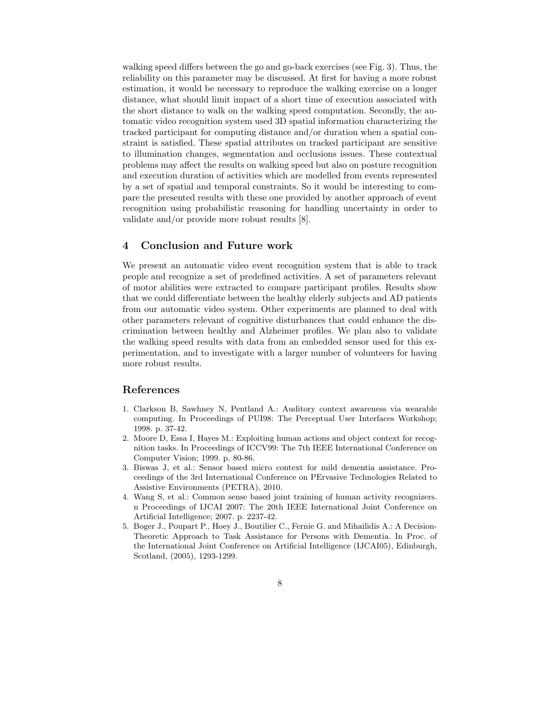walking speed differs between the go and go-back exercises (see Fig. 3). Thus, the reliability on this parameter may be discussed. At first for having a more robust estimation, it would be necessary to reproduce the walking exercise on a longer distance, what should limit impact of a short time of execution associated with the short distance to walk on the walking speed computation. Secondly, the automatic video recognition system used 3D spatial information characterizing the tracked participant for computing distance and/or duration when a spatial constraint is satisfied. These spatial attributes on tracked participant are sensitive to illumination changes, segmentation and occlusions issues. These contextual problems may affect the results on walking speed but also on posture recognition and execution duration of activities which are modelled from events represented by a set of spatial and temporal constraints. So it would be interesting to compare the presented results with these one provided by another approach of event recognition using probabilistic reasoning for handling uncertainty in order to validate and/or provide more robust results [8].

## 4 Conclusion and Future work

We present an automatic video event recognition system that is able to track people and recognize a set of predefined activities. A set of parameters relevant of motor abilities were extracted to compare participant profiles. Results show that we could differentiate between the healthy elderly subjects and AD patients from our automatic video system. Other experiments are planned to deal with other parameters relevant of cognitive disturbances that could enhance the discrimination between healthy and Alzheimer profiles. We plan also to validate the walking speed results with data from an embedded sensor used for this experimentation, and to investigate with a larger number of volunteers for having more robust results.

# References

- 1. Clarkson B, Sawhney N, Pentland A.: Auditory context awareness via wearable computing. In Proceedings of PUI98: The Perceptual User Interfaces Workshop; 1998. p. 37-42.
- 2. Moore D, Essa I, Hayes M.: Exploiting human actions and object context for recognition tasks. In Proceedings of ICCV99: The 7th IEEE International Conference on Computer Vision; 1999. p. 80-86.
- 3. Biswas J, et al.: Sensor based micro context for mild dementia assistance. Proceedings of the 3rd International Conference on PErvasive Technologies Related to Assistive Environments (PETRA), 2010.
- 4. Wang S, et al.: Common sense based joint training of human activity recognizers. n Proceedings of IJCAI 2007: The 20th IEEE International Joint Conference on Artificial Intelligence; 2007. p. 2237-42.
- 5. Boger J., Poupart P., Hoey J., Boutilier C., Fernie G. and Mihailidis A.: A Decision-Theoretic Approach to Task Assistance for Persons with Dementia. In Proc. of the International Joint Conference on Artificial Intelligence (IJCAI05), Edinburgh, Scotland, (2005), 1293-1299.